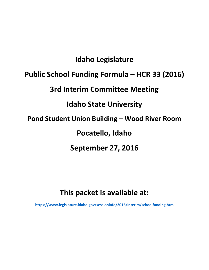# **Idaho Legislature Public School Funding Formula – HCR 33 (2016) 3rd Interim Committee Meeting Idaho State University Pond Student Union Building – Wood River Room Pocatello, Idaho September 27, 2016**

# **This packet is available at:**

**<https://www.legislature.idaho.gov/sessioninfo/2016/interim/schoolfunding.htm>**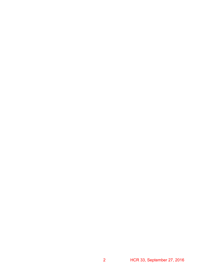HCR 33, September 27, 2016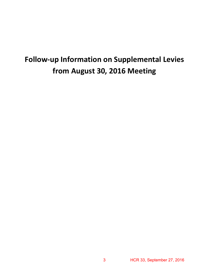# **Follow-up Information on Supplemental Levies from August 30, 2016 Meeting**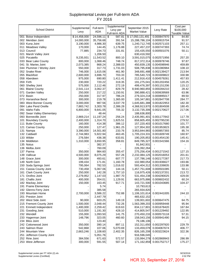#### Supplemental Levies per Full-term ADA FY 2016

|                                  |                    |                      | Supplemental     |                  |                            | Cost per             |
|----------------------------------|--------------------|----------------------|------------------|------------------|----------------------------|----------------------|
| <b>School District</b>           | Supplemental       | Full-term            | Levy per         | September 2015   | Levy Rate                  | \$100,000            |
|                                  | Levy               | <b>ADA</b>           | Full-term ADA    | Market Value     |                            | <b>Taxable Value</b> |
| 001 Boise Independent            | \$14,458,000       | 24,596.11            | \$<br>587.81     | \$17,050,131,491 | 0.000847970                | \$<br>84.80          |
| 002 Meridian Joint               | 14,000,000         | 35,756.68            | 391.54           | 15,288,786,104   | 0.000915704                | 91.57                |
| 003 Kuna Joint                   | 3,190,000          | 4,986.30             | 639.75           | 1,240,712,745    | 0.002571103                | 257.11               |
| 011 Meadows Valley               | 170,000            | 144.45               | 1,176.88         | 227,457,237      | 0.000747393                | 74.74                |
| 013 Council                      | 77,885             | 234.73               | 331.81           | 155,435,550      | 0.000501076                | 50.11                |
| 021 Marsh Valley Joint           |                    | 1,206.50             |                  | 630,416,592      |                            |                      |
| 025 Pocatello                    | 9,235,931          | 11,543.52            | 800.10           | 3,591,015,075    | 0.002571956                | 257.20               |
| 033 Bear Lake County             | 800,000            | 1,068.46             | 748.74           | 817,372,314      | 0.000978746                | 97.87                |
| 041 St. Maries Joint             | 2,073,385          | 868.24               | 2,388.03         | 450,839,135      | 0.004598946                | 459.89               |
| 044 Plummer / Worley Joint       | 550,000            | 317.73               | 1,731.03         | 508,795,838      | 0.001080984                | 108.10               |
| 052 Snake River                  | 746,000            | 1,615.06             | 461.90           | 348,691,488      | 0.002139427                | 213.94               |
| 055 Blackfoot                    | 2,600,000          | 3,696.70             | 703.33           | 785,540,723      | 0.003309822                | 330.98               |
| 058 Aberdeen                     | 975,000            | 690.80               | 1,411.41         | 212,916,410      | 0.004579261                | 457.93               |
| 059 Firth                        | 230,000            | 720.22               | 319.35           | 191,275,041      | 0.001202456                | 120.25               |
| 060 Shelley Joint                | 575,000            | 2,112.46             | 272.19           | 499,476,397      | 0.001151206                | 115.12               |
| 061 Blaine County                | 2,541,114          | 3,062.37             | 829.79           | 8,940,960,855    | 0.000284210                | 28.42                |
| 071 Garden Valley                | 250,000            | 217.22               | 1,150.91         | 390,888,421      | 0.000639569                | 63.96                |
| 072 Basin                        | 250,000            | 317.97               | 786.24           | 279,324,218      | 0.000895017                | 89.50                |
| 073 Horseshoe Bend               | 300,000            | 219.78               | 1,365.00         | 105,347,881      | 0.002847708                | 284.77               |
| 083 West Bonner County           | 3,000,000          | 987.56               | 3,037.79         | 1,645,681,388    | 0.001822953                | 182.30               |
| 084 Lake Pend Oreille            | 7,883,742          | 3,303.78             | 2,386.28         | 4,368,913,970    | 0.001804508                | 180.45               |
| 091 Idaho Falls                  | 6,800,000          | 9,641.05             | 705.32           | 3,132,735,306    | 0.002170627                | 217.06               |
| 092 Swan Valley Elementary       |                    | 48.44                |                  | 188,636,800      |                            |                      |
| 093 Bonneville Joint             | 2,869,214          | 11,197.24            | 256.24           | 2,435,991,401    | 0.001177842                | 117.78               |
| 101 Boundary County              | 2,400,000          | 1,314.70             | 1,825.51         | 858,605,455      | 0.002795230                | 279.52               |
| 111 Butte County                 | 160,000            | 414.38               | 386.12           | 157,220,403      | 0.001017680                | 101.77               |
| 121 Camas County                 | 250,000            | 127.47               | 1,961.25         | 127,954,302      | 0.001953823                | 195.38               |
| 131 Nampa                        | 3,390,000          | 14,501.80            | 233.76           | 3,953,844,983    | 0.000857393                | 85.74                |
| 132 Caldwell                     | 2,744,983          | 5,922.94             | 463.45           | 1,705,224,331    | 0.001609749                | 160.97               |
| 133 Wilder                       | 276,584            | 436.38               | 633.81           | 190,205,853      | 0.001454130                | 145.41               |
| 134 Middleton                    | 1,310,000          | 3,650.95             | 358.81           | 849,785,327      | 0.001541566                | 154.16               |
| 135 Notus                        |                    | 382.37               |                  | 91,842,931       |                            |                      |
| 136 Melba Joint                  |                    | 760.09               |                  | 226,392,264      |                            |                      |
| 137 Parma                        | 350,000            | 984.60               | 355.47           | 275,256,434      | 0.001271542                | 127.15               |
| 139 Vallivue                     | 4,500,000          | 8,075.29             | 557.26           | 2,232,084,125    | 0.002016053                | 201.61               |
| 148 Grace Joint                  | 300,000            | 493.61               | 607.77           | 137,786,146      | 0.002177287                | 217.73               |
| 149 North Gem                    | 199,434            | 171.81               | 1,160.78         | 102,980,054      | 0.001936627                | 193.66               |
| 150 Soda Springs Joint           | 795,064            | 782.53               | 1,016.02         | 593,404,312      | 0.001339835                | 133.98               |
| 151 Cassia County Joint          | 730,458            | 5,067.06             | 144.16           | 1,457,751,608    | 0.000501085                | 50.11                |
| 161 Clark County Joint           | 250,000            | 142.28               | 1,757.10         | 116,975,426      | 0.002137201                | 213.72               |
| 171 Orofino Joint                | 2,279,952          | 1,147.03             | 1,987.70         | 531,454,238      | 0.004290025                | 429.00               |
| 181 Challis Joint                | 400,000            | 354.01               | 1,129.91         | 663,975,886      | 0.000602432                | 60.24                |
| 182 Mackay Joint                 | 150,000            | 163.45               | 917.71           | 143,721,500      | 0.001043685                | 104.37               |
| 191 Prairie Elementary           |                    | 5.74                 |                  | 10,793,613       |                            |                      |
| 192 Glenns Ferry Joint           |                    | 385.58               |                  | 265,934,820      |                            |                      |
| 193 Mountain Home                | 2,700,000          | 3,586.22             | 752.88           | 1,106,101,614    | 0.002441005                | 244.10               |
| 201 Preston Joint                |                    | 2,447.79             |                  | 465,632,152      |                            |                      |
| 202 West Side Joint              | 90,000             | 603.25               | 149.19           | 139,001,602      | 0.000647475                | 64.75                |
|                                  | 1,500,000          |                      | 732.26           | 1,563,399,203    |                            | 95.94                |
| 215 Fremont County Joint         |                    | 2,048.44             |                  |                  | 0.000959448                |                      |
| 221 Emmett Independent           | 1,400,000          | 2,259.42             | 619.63           | 834,117,801      | 0.001678420                | 167.84               |
| 231 Gooding Joint<br>232 Wendell | 510,000<br>155,000 | 1,191.30<br>1,093.50 | 428.10<br>141.75 | 414,805,547      | 0.001229492<br>0.000573118 | 122.95<br>57.31      |
|                                  |                    |                      |                  | 270,450,233      | 0.000941490                |                      |
| 233 Hagerman Joint               | 148,796            | 323.05               | 460.60           | 158,043,156      |                            | 94.15                |
| 234 Bliss Joint                  |                    | 123.40               |                  | 79,186,106       |                            |                      |
| 242 Cottonwood Joint             | 350,000            | 390.14               | 897.11           | 152,311,650      | 0.002297920                | 229.79               |
| 243 Salmon River                 | 542,868            | 107.06               | 5,070.69         | 133,459,078      | 0.004067674                | 406.77               |
| 244 Mountain View                | 2,663,246          | 1,108.60             | 2,402.35         | 826,165,208      | 0.003223624                | 322.36               |
| 251 Jefferson County Joint       |                    | 5,051.76             |                  | 916,596,045      |                            |                      |
| 252 Ririe Joint                  | 384,556            | 671.63               | 572.57           | 133,994,278      | 0.002869943                | 286.99               |
| 253 West Jefferson               | 300,000            | 591.55               | 507.14           | 171,162,859      | 0.001752717                | 175.27               |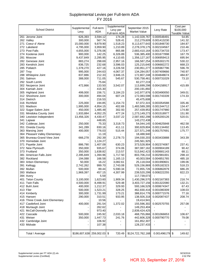#### Supplemental Levies per Full-term ADA FY 2016

|                                         | Supplemental                | Full-term  | Supplemental       | September 2015                 |                | Cost per             |
|-----------------------------------------|-----------------------------|------------|--------------------|--------------------------------|----------------|----------------------|
| <b>School District</b>                  | Levy                        | <b>ADA</b> | Levy per           | Market Value                   | Levy Rate      | \$100,000            |
|                                         |                             |            | Full-term ADA      |                                |                | <b>Taxable Value</b> |
| 261 Jerome Joint                        | 626,393                     | 3,594.12   | 174.28             | 1,142,028,767                  | 0.000548491    | 54.85                |
| 262 Valley                              | 300,000                     | 567.74     | 528.41             | 212,279,609                    | 0.001413230    | 141.32               |
| 271 Coeur d' Alene                      | 15,000,000                  | 9,879.90   | 1,518.23           | 8,113,677,643                  | 0.001848730    | 184.87               |
| 272 Lakeland<br>273 Post Falls          | 4,795,000                   | 3,959.90   | 1,210.89           | 2,278,378,175                  | 0.002104567    | 210.46               |
|                                         | 4,655,000                   | 5,376.06   | 865.88             | 2,683,410,164                  | 0.001734733    | 173.47               |
| 274 Kootenai Joint                      | 900,000                     | 142.25     | 6,326.89           | 536,385,400                    | 0.001677898    | 167.79               |
| 281 Moscow                              | 9,437,849                   | 2,295.95   | 4,110.65           | 1,356,127,167                  | 0.006959413    | 695.94               |
| 282 Genesee Joint<br>283 Kendrick Joint | 883,274                     | 298.69     | 2,957.16           | 166,587,254                    | 0.005302170    | 530.22               |
|                                         | 836,725                     | 232.68     | 3,596.03           | 125,215,640                    | 0.006682272    | 668.23               |
| 285 Potlatch<br>287 Trov                | 1,378,270                   | 427.16     | 3,226.59           | 230,951,277                    | 0.005967796    | 596.78               |
|                                         | 995,000                     | 244.63     | 4,067.37           | 134,284,057                    | 0.007409666    | 740.97               |
| 288 Whitepine Joint<br>291 Salmon       | 837,886                     | 212.33     | 3,946.15           | 172,807,248                    | 0.004848674    | 484.87               |
|                                         | 388,000                     | 711.05     | 545.67             | 530,758,461                    | 0.000731029    | 73.10                |
| 292 South Lemhi                         |                             | 75.84      |                    | 82,277,219                     |                |                      |
| 302 Nezperce Joint                      | 472,866                     | 133.50     | 3,542.07           | 113,699,298                    | 0.004158917    | 415.89               |
| 304 Kamiah Joint                        |                             | 415.30     |                    | 200,191,892                    |                |                      |
| 305 Highland Joint                      | 499,000                     | 156.71     | 3,184.23           | 142,977,876                    | 0.003490050    | 349.01               |
| 312 Shoshone Joint                      | 300,000                     | 494.04     | 607.24             | 172,083,598                    | 0.001743339    | 174.33               |
| 314 Dietrich                            |                             | 216.53     |                    | 45,475,608                     |                |                      |
| 316 Richfield                           | 225,000                     | 194.85     | 1,154.73           | 67,072,315                     | 0.003354588    | 335.46               |
| 321 Madison                             | 1,995,000                   | 4,954.15   | 402.69             | 1,483,589,285                  | 0.001344712    | 134.47               |
| 322 Sugar-Salem Joint                   | 450,000                     | 1,485.48   | 302.93             | 257,439,953                    | 0.001747980    | 174.80               |
| 331 Minidoka County Joint               | 1,933,884                   | 4,052.25   | 477.24             | 1,273,149,273                  | 0.001518977    | 151.90               |
| 340 Lewiston Independent                | 13,456,326                  | 4,430.47   | 3,037.22           | 2,587,692,298                  | 0.005200126    | 520.01               |
| 341 Lapwai                              |                             | 448.65     |                    | 143,272,438                    |                |                      |
| 342 Culdesac Joint                      | 250,000                     | 75.33      | 3,318.73           | 54,044,145                     | 0.004625848    | 462.58               |
| 351 Oneida County                       | 341,289                     | 830.16     | 411.11             | 300,829,804                    | 0.001134492    | 113.45               |
| 363 Marsing Joint                       | 400,000                     | 776.03     | 515.44             | 227,571,248                    | 0.001757691    | 175.77               |
| 364 Pleasant Valley Elementary          |                             | 11.19      |                    | 18,488,940                     |                |                      |
| 365 Bruneau-Grand View Joint            | 666,278                     | 292.39     | 2,278.73           | 194,030,203                    | 0.003433888    | 343.39               |
| 370 Homedale Joint                      |                             | 1,124.27   |                    | 245,561,925                    |                |                      |
| 371 Payette Joint                       | 886,790                     | 1,407.09   | 630.23             | 373,528,904                    | 0.002374087    | 237.41               |
| 372 New Plymouth                        | 350,000                     | 935.67     | 374.06             | 387,087,162                    | 0.000904189    | 90.42                |
| 373 Fruitland                           | 350,000                     | 1,638.82   | 213.57             | 513,842,423                    | 0.000681143    | 68.11                |
| 381 American Falls Joint                | 2,395,849                   | 1,394.96   | 1,717.50           | 803,706,210                    | 0.002981001    | 298.10               |
| 382 Rockland                            | 194,088                     | 166.58     | 1,165.13           | 40,003,584                     | 0.004851765    | 485.18               |
| 383 Arbon Elementary                    | 50,000                      | 16.22      | 3,082.61           | 25,118,044                     | 0.001990601    | 199.06               |
| 391 Kellogg                             | 2,742,262                   | 999.70     | 2,743.08           | 529,156,869                    | 0.005182323    | 518.23<br>686.29     |
| 392 Mullan<br>393 Wallace               | 500,000                     | 89.44      | 5,590.34           | 72,855,726                     | 0.006862879    |                      |
|                                         | 1,969,397                   | 457.15     | 4,307.99           | 239,520,299                    | 0.008222255    | 822.23               |
| 394 Avery                               | 3,100,000                   | 5.59       |                    | 117,739,073                    |                |                      |
| 401 Teton County<br>411 Twin Falls      |                             | 1,623.60   | 1,909.34<br>529.48 | 1,430,296,570<br>3,403,727,156 | 0.002167383    | 216.74<br>132.21     |
|                                         | 4,500,000                   | 8,498.91   |                    |                                | 0.001322080    | 67.43                |
| 412 Buhl Joint                          | 400,000                     | 1,212.37   | 329.93             | 593,166,529                    | 0.000674347    |                      |
| 413 Filer                               | 500,000                     | 1,523.21   | 328.25             | 462,830,416                    | 0.001080309    | 108.03               |
| 414 Kimberly                            | 300,000                     | 1,731.99   | 173.21             | 388,814,776                    | 0.000771576    | 77.16                |
| 415 Hansen                              | 290,000                     | 310.51     | 933.95             | 138,926,318                    | 0.002087437    | 208.74               |
| 416 Three Creek Joint Elementary        |                             | 10.56      |                    | 19,414,941                     |                |                      |
| 417 Castleford Joint                    | 400,000                     | 291.54     | 1,372.02           | 155,596,302                    | 0.002570755    | 257.08               |
| 418 Murtaugh Joint                      |                             | 262.62     |                    | 149,253,404                    |                |                      |
| 421 McCall-Donnelly Joint               |                             | 973.40     |                    | 2,839,424,425                  | 0.001066653    |                      |
| 422 Cascade<br>431 Weiser               | 500,000                     | 245.92     | 2,033.18           | 468,755,866                    | 0.000790770    | 106.67               |
|                                         | 350,000                     | 1,447.73   | 241.76             | 442,606,328                    |                | 79.08                |
| 432 Cambridge Joint<br>433 Midvale      |                             | 106.92     |                    | 161,852,307                    | $\overline{a}$ |                      |
|                                         | $\overline{\phantom{a}}$    | 107.38     |                    | 128,237,433                    |                |                      |
|                                         |                             |            |                    |                                |                |                      |
| Total / Average                         | \$186,607,638 259,002.03 \$ |            | 720.49             | \$124,722,762,168              | 0.001496179 \$ | 149.62               |
|                                         |                             |            |                    |                                |                |                      |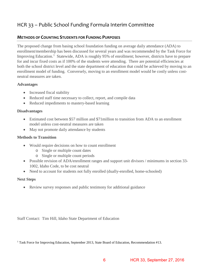### HCR 33 – Public School Funding Formula Interim Committee

#### **METHODS OF COUNTING STUDENTS FOR FUNDING PURPOSES**

The proposed change from basing school foundation funding on average daily attendance (ADA) to enrollment/membership has been discussed for several years and was recommended by the Task Force for Improving Education.<sup>[1](#page-5-0)</sup> Statewide, ADA is roughly 95% of enrollment; however, districts have to prepare for and incur fixed costs as if 100% of the students were attending. There are potential efficiencies at both the school district level and the state department of education that could be achieved by moving to an enrollment model of funding. Conversely, moving to an enrollment model would be costly unless costneutral measures are taken.

#### **Advantages**

- Increased fiscal stability
- Reduced staff time necessary to collect, report, and compile data
- Reduced impediments to mastery-based learning

#### **Disadvantages**

- Estimated cost between \$57 million and \$71million to transition from ADA to an enrollment model unless cost-neutral measures are taken
- May not promote daily attendance by students

#### **Methods to Transition**

- Would require decisions on how to count enrollment
	- o Single or multiple count dates
	- o Single or multiple count periods
- Possible revision of ADA/enrollment ranges and support unit divisors / minimums in section 33- 1002, Idaho Code, to be cost neutral
- Need to account for students not fully enrolled (dually-enrolled, home-schooled)

#### **Next Steps**

• Review survey responses and public testimony for additional guidance

Staff Contact: Tim Hill, Idaho State Department of Education

<span id="page-5-0"></span><sup>1</sup> Task Force for Improving Education, September 2013, State Board of Education, Recommendation #13.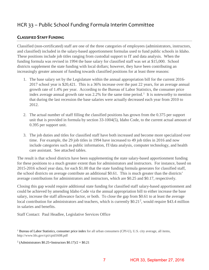## HCR 33 – Public School Funding Formula Interim Committee

#### **CLASSIFIED STAFF FUNDING**

Classified (non-certificated) staff are one of the three categories of employees (administrators, instructors, and classified) included in the salary-based apportionment formulas used to fund public schools in Idaho. These positions include job titles ranging from custodial support to IT and data analysis. When the funding formula was revised in 1994 the base salary for classified staff was set at \$15,000. School districts supplement the state funding with local dollars; however, they have been contributing an increasingly greater amount of funding towards classified positions for at least three reasons:

- 1. The base salary set by the Legislature within the annual appropriation bill for the current 2016- 2017 school year is \$20,421. This is a 36% increase over the past 22 years, for an average annual growth rate of 1.4% per year. According to the Bureau of Labor Statistics, the consumer price index average annual growth rate was 2.2% for the same time period.<sup>[1](#page-6-0)</sup> It is noteworthy to mention that during the last recession the base salaries were actually decreased each year from 2010 to 2012.
- 2. The actual number of staff filling the classified positions has grown from the 0.375 per support unit that is provided in formula by section 33-1004(5), Idaho Code, to the current actual amount of 0.395 per support unit.
- 3. The job duties and titles for classified staff have both increased and become more specialized over time. For example, the 29 job titles in 1994 have increased to 49 job titles in 2016 and now include categories such as public information, IT/data analysis, computer technology, and health care assistant. See attached tables.

The result is that school districts have been supplementing the state salary-based apportionment funding for these positions to a much greater extent than for administrators and instructors. For instance, based on 2015-2016 school year data, for each \$1.00 that the state funding formula generates for classified staff, the school districts on average contribute an additional \$0.61. This is much greater than the districts' average contributions for administrators and instructors, which are \$0.25 and \$0.17, respectively.

Closing this gap would require additional state funding for classified staff salary-based apportionment and could be achieved by amending Idaho Code via the annual appropriation bill to either increase the base salary, increase the staff allowance factor, or both. To close the gap from \$0.61 to at least the average local contribution for administrators and teachers, which is currently \$0.[2](#page-6-1)1<sup>2</sup>, would require \$43.4 million in salaries and benefits.

Staff Contact: Paul Headlee, Legislative Services Office

<span id="page-6-0"></span><sup>&</sup>lt;sup>1</sup> Bureau of Labor Statistics, consumer price index for all urban consumers (CPI-U), U.S. city average, all items, http://www.bls.gov/cpi/cpid1608.pdf

<span id="page-6-1"></span><sup>&</sup>lt;sup>2</sup> (Administrators  $$0.25+Instructions $0.17$ )/2 = \$0.21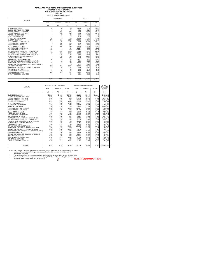#### **ACTUAL AND F.T.E. TOTAL OF NONCERTIFIED EMPLOYEES, AVERAGE ANNUAL SALARY, AND AVERAGE HOURLY PAY RATE 1993-1994 \*\*\* STATEWIDE SUMMARY \*\*\***

|                                          |                | <b>EMPLOYEES</b> |              |            | F.T.E.       |              |
|------------------------------------------|----------------|------------------|--------------|------------|--------------|--------------|
| <b>ACTIVITY</b>                          |                |                  |              |            |              |              |
|                                          | <b>MEN</b>     | <b>WOMEN</b>     | <b>TOTAL</b> | <b>MEN</b> | <b>WOMEN</b> | <b>TOTAL</b> |
|                                          | (a)            | (b)              | (c)          | (d)        | (e)          | (f)          |
|                                          |                |                  |              |            |              |              |
| BUSINESS MANAGER                         | 20<br>5        | 30               | 50           | 18.65      | 26.18        | 44.83        |
| CLERK - BOARD OF TRUSTEES                |                | 66               | 71           | 1.53       | 47.24        | 48.77        |
| OFFICE CLERICAL - DISTRICT               |                | 336              | 343          | 6.67       | 285.77       | 292.44       |
| OFFICE CLERICAL - BUILDING               |                | 845              | 846          | 0.79       | 595.98       | 596.77       |
| PERSONNEL SERVICES                       | 4              | 59               | 63           | 3.40       | 41.09        | 44.49        |
| PUBLIC INFORMATION                       | $\overline{c}$ | 4                | 6            | 2.00       | 0.79         | 2.79         |
| ∥CUSTODIAN SUPERVISOR                    | 48             | 5                | 53           | 46.98      | 5.00         | 51.98        |
| JANITOR, CUSTODIAN                       | 876            | 481              | 1,357        | 795.62     | 348.04       | 1,143.66     |
| FOOD SERVICE - SUPERVISOR                | $\overline{c}$ | 84               | 86           | 1.69       | 59.03        | 60.72        |
| FOOD SERVICE - MANAGER                   | 3              | 301              | 304          | 1.99       | 171.68       | 173.67       |
| ∥FOOD SERVICE - COOK                     | 6              | 938              | 944          | 2.61       | 444.92       | 447.53       |
| FOOD SERVICE - OTHER                     | 31             | 464              | 495          | 15.65      | 171.77       | 187.42       |
| MAINTENANCE SUPERVISOR                   | 90             | 1                | 91           | 84.27      | 0.96         | 85.23        |
| MAINTENANCE WORKER                       | 298            | 11               | 309          | 278.11     | 5.35         | 283.46       |
| INSTRUCTIONAL ASSISTANT - REGULAR ED     | 78             | 2,042            | 2,120        | 35.48      | 1,031.06     | 1,066.54     |
| INSTRUCTIONAL ASSISTANT - SPECIAL ED     | 50             | 1,130            | 1,180        | 26.52      | 616.42       | 642.94       |
| RELATED SERVICES ASSISTANT, SPECIAL ED   | 1              | 34               | 35           | 0.55       | 18.07        | 18.62        |
| INTERPRETER - HEARING IMPAIRED           | 3              | 42               | 45           | 1.66       | 22.87        | 24.53        |
| ∥LIBRARY ASSISTANT                       |                | 321              | 322          | 0.73       | 176.02       | 176.75       |
| <b>TRANSPORTATION SUPERVISOR</b>         | 68             | 5                | 73           | 54.67      | 2.76         | 57.43        |
| TRANSPORTATION DISPATCHER/SECRETARY      | $\Omega$       | 20               | 20           | 0.00       | 15.26        | 15.26        |
| TRANSPORTATION - SCHOOL BUS MECHANIC     | 70             | $\mathbf 0$      | 70           | 62.67      | 0.00         | 62.67        |
| TRANSPORTATION-SCHOOL BUS DRIVER TRAINER | $\overline{2}$ | $\overline{c}$   | 4            | 1.62       | 1.42         | 3.04         |
| VEHICLE OPERATOR                         | 483            | 841              | 1,324        | 150.35     | 289.13       | 439.48       |
| TRANSPORTATION - SCHOOL BUS ATTENDANT    | 3              | 54               | 57           | 0.79       | 14.60        | 15.39        |
| ATTENDANCE OFFICER                       | 4              | 15               | 19           | 2.58       | 10.18        | 12.76        |
| SPECIAL PROJECT PERSONNEL                | 12             | 82               | 94           | 7.88       | 41.68        | 49.56        |
| OTHER NONCERTIFIED                       | 107            | 270              | 377          | 53.22      | 68.04        | 121.26       |
| DATA PROCESSING SERVICES                 | 4              | 6                | 10           | 3.90       | 5.68         | 9.58         |
|                                          |                |                  |              |            |              |              |
| <b>TOTALS</b>                            | 2.279          | 8.489            | 10.768       | 1.662.58   | 4.516.99     | 6,179.57     |

| <b>ACTIVITY</b>                          |            | <b>AVERAGE HOURLY PAY RATE</b> |              | <b>AVERAGE ANNUAL SALARY</b> |              |              | <b>TOTAL</b><br><b>SALARIES</b> |
|------------------------------------------|------------|--------------------------------|--------------|------------------------------|--------------|--------------|---------------------------------|
|                                          | <b>MEN</b> | <b>WOMEN</b>                   | <b>TOTAL</b> | <b>MEN</b>                   | <b>WOMEN</b> | <b>TOTAL</b> | $(c)$ x $(l)$                   |
|                                          | (g)        | (h)                            | (i)          | (i)                          | (k)          | (1)          | (m)                             |
|                                          |            |                                |              |                              |              |              |                                 |
| <b>BUSINESS MANAGER</b>                  | \$21.32    | \$14.67                        | \$17.33      | \$42,293                     | \$25,944     | \$32,484     | \$1,624,197                     |
| CLERK - BOARD OF TRUSTEES                | 12.95      | 12.31                          | 12.35        | 7,492                        | 16,510       | 15,875       | 1,127,134                       |
| OFFICE CLERICAL - DISTRICT               | 10.41      | 9.31                           | 9.33         | 20,530                       | 16,757       | 16,834       | 5,773,981                       |
| OFFICE CLERICAL - BUILDING               | 10.15      | 8.25                           | 8.25         | 16,646                       | 12,246       | 12,252       | 10,364,775                      |
| PERSONNEL SERVICES                       | 22.58      | 9.34                           | 10.18        | 42,706                       | 14,039       | 15,859       | 999,098                         |
| PUBLIC INFORMATION                       | 15.71      | 10.80                          | 12.43        | 32,667                       | 3,423        | 13,171       | 79,026                          |
| <b>CUSTODIAN SUPERVISOR</b>              | 9.45       | 9.91                           | 9.49         | 19,252                       | 20,621       | 19,381       | 1,027,187                       |
| JANITOR, CUSTODIAN                       | 8.00       | 7.36                           | 7.78         | 15,022                       | 11,177       | 13,659       | 18,535,705                      |
| FOOD SERVICE - SUPERVISOR                | 15.39      | 10.24                          | 10.36        | 27,327                       | 15,461       | 15,737       | 1,353,384                       |
| FOOD SERVICE - MANAGER                   | 7.89       | 8.20                           | 8.20         | 11,493                       | 9,803        | 9,820        | 2,985,210                       |
| FOOD SERVICE - COOK                      | 7.21       | 6.75                           | 6.75         | 5,534                        | 6,737        | 6,729        | 6,352,344                       |
| FOOD SERVICE - OTHER                     | 6.82       | 6.32                           | 6.35         | 7,712                        | 5,062        | 5,228        | 2,587,677                       |
| <b>IMAINTENANCE SUPERVISOR</b>           | 13.16      | 8.00                           | 13.10        | 25,264                       | 16,000       | 25,162       | 2,289,715                       |
| MAINTENANCE WORKER                       | 10.04      | 6.54                           | 9.92         | 19,441                       | 7,044        | 19,000       | 5,871,018                       |
| INSTRUCTIONAL ASSISTANT - REGULAR ED     | 6.31       | 6.66                           | 6.65         | 6,028                        | 6,915        | 6,882        | 14,589,646                      |
| INSTRUCTIONAL ASSISTANT - SPECIAL ED     | 6.49       | 6.58                           | 6.58         | 7,100                        | 7,464        | 7,449        | 8,789,531                       |
| RELATED SERVICES ASSISTANT, SPECIAL ED   | 10.83      | 7.43                           | 7.53         | 12,346                       | 8,448        | 8,559        | 299,569                         |
| INTERPRETER - HEARING IMPAIRED           | 8.12       | 8.37                           | 8.36         | 9,411                        | 9,368        | 9,371        | 421,683                         |
| LIBRARY ASSISTANT                        | 9.62       | 7.14                           | 7.15         | 14,622                       | 8,264        | 8,283        | 2,667,260                       |
| <b>TRANSPORTATION SUPERVISOR</b>         | 13.16      | 7.88                           | 12.80        | 22,865                       | 10,463       | 22,015       | 1,607,103                       |
| TRANSPORTATION DISPATCHER/SECRETARY      | 0.00       | 7.69                           | 7.69         | $\Omega$                     | 12,525       | 12,525       | 250,507                         |
| TRANSPORTATION - SCHOOL BUS MECHANIC     | 10.97      | 0.00                           | 10.97        | 19,889                       | $\Omega$     | 19,889       | 1,392,211                       |
| TRANSPORTATION-SCHOOL BUS DRIVER TRAINER | 8.81       | 8.61                           | 8.71         | 14,801                       | 12,692       | 13,747       | 54,986                          |
| VEHICLE OPERATOR                         | 9.09       | 8.91                           | 8.98         | 5,853                        | 6,392        | 6,195        | 8,202,251                       |
| TRANSPORTATION - SCHOOL BUS ATTENDANT    | 6.67       | 6.09                           | 6.12         | 3,841                        | 3,796        | 3,798        | 216,501                         |
| <b>ATTENDANCE OFFICER</b>                | 14.75      | 7.94                           | 9.37         | 20,375                       | 11,339       | 13,241       | 251,582                         |
| SPECIAL PROJECT PERSONNEL                | 12.55      | 10.17                          | 10.47        | 17,169                       | 10,854       | 11,660       | 1,096,027                       |
| OTHER NONCERTIFIED                       | 9.41       | 8.14                           | 8.50         | 11.770                       | 5,513        | 7,289        | 2,747,813                       |
| DATA PROCESSING SERVICES                 | 14.88      | 12.18                          | 13.26        | 29,767                       | 23,883       | 26,237       | 262,366                         |
|                                          |            |                                |              |                              |              |              |                                 |
| <b>TOTALS</b>                            | \$9.16     | \$7.47                         | \$7.83       | \$14.109                     | \$8.442      | \$9.641      | \$103,819,487                   |

 NOTE: Employees are counted once in each activity they perform. This gives an accurate picture of the actual number of employees performing in each job classification, but produces an inflated total of noncertified personnel.

Full-Time Equivalency (F.T.E.) is calculated by multiplying the number of hours worked per week times

the number of weeks worked per year and dividing by 2080, the number of working hours in a year.

"Statewide" Total Salaries is the sum of column (m).

 $24$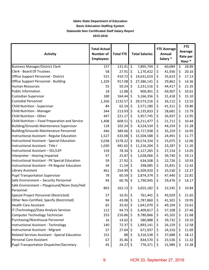#### **Idaho State Department of Education Basic Education Staffing System Statewide Non Certificated Staff Salary Report 2015-2016**

|                                                       |                     |                    |         |                       | <b>FTE Average</b> |          | <b>FTE</b> |          |  |
|-------------------------------------------------------|---------------------|--------------------|---------|-----------------------|--------------------|----------|------------|----------|--|
|                                                       | <b>Total Actual</b> |                    |         |                       |                    |          |            | Average  |  |
| <b>Activity</b>                                       | <b>Number of</b>    | <b>Total FTE</b>   |         | <b>Total Salaries</b> |                    | Annual   |            | Rate per |  |
|                                                       | <b>Employees</b>    |                    |         |                       |                    | Salary * |            | Hour *   |  |
| <b>Business Manager/District Clerk</b>                | 157                 | 131.41             | $\zeta$ | 7,895,704             | \$                 | 60,084   | \$         | 28.89    |  |
| <b>Clerk - Board Of Trustees</b>                      | 58                  | 27.91              | $\zeta$ | 1,170,422             | \$                 | 41,936   | \$         | 20.16    |  |
| Office Support Personnel - District                   | 521                 | 410.72             | \$      | 14,631,014            | \$                 | 35,623   | \$         | 17.13    |  |
| <b>Office Support Personnel - Building</b>            | 1,329               | 917.08             | $\zeta$ | 27,386,141            | \$                 | 29,862   | \$         | 14.36    |  |
| <b>Human Resources</b>                                | 55                  | $50.24$ \$         |         | 2,231,516             | \$                 | 44,417   | \$         | 21.35    |  |
| Public Information                                    | 18                  | 12.88              | $\zeta$ | 900,401               | \$                 | 69,907   | \$         | 33.61    |  |
| <b>Custodian Supervisor</b>                           | 180                 | $164.44$ \$        |         | 5,166,356             | \$                 | 31,418   | \$         | 15.10    |  |
| <b>Custodial Personnel</b>                            | 1,356               | 1132.57            | \$      | 29,573,216            | \$                 | 26,112   | \$         | 12.55    |  |
| <b>Child Nutrition - Supervisor</b>                   | 84                  | 62.24              | $\zeta$ | 2,571,180             | \$                 | 41,311   | \$         | 19.86    |  |
| <b>Child Nutrition - Manager</b>                      | 344                 | $213.93$ \$        |         | 6,135,833             | \$                 | 28,681   | \$         | 13.79    |  |
| Child Nutrition - Other                               | 447                 | $221.17$ \$        |         | 5,957,745             | \$                 | 26,937   | \$         | 12.95    |  |
| Child Nutrition - Food Preparation and Service        | 1,408               | 608.51             | \$      | 13,211,477            | \$                 | 21,711   | \$         | 10.44    |  |
| <b>Building/Grounds Maintenance Supervisor</b>        | 118                 | $102.24$ \$        |         | 4,524,534             | \$                 | 44,254   | \$         | 21.28    |  |
| <b>Building/Grounds Maintenance Personnel</b>         | 446                 | 389.06 \$          |         | 13,717,938            | \$                 | 35,259   | \$         | 16.95    |  |
| Instructional Assistant - Regular Education           | 1,527               | 633.08             | \$      | 15,504,588            | \$                 | 24,491   | \$         | 11.77    |  |
| <b>Instructional Assistant - Special Education</b>    | 3,038               | 1578.22 \$         |         | 39,574,334            | \$                 | 25,075   | \$         | 12.06    |  |
| Instructional Assistant - Title I                     | 1,030               | 481.65             | $\zeta$ | 11,216,204            | \$                 | 23,287   | \$         | 11.20    |  |
| <b>Instructional Assistant - EEL/LEP</b>              | 159                 | $78.34$ \$         |         | 2,127,265             | \$                 | 27,154   | \$         | 13.05    |  |
| Interpreter - Hearing Impaired                        | 47                  | 25.87              | \$      | 1,028,066             | \$                 | 39,740   | \$         | 19.11    |  |
| <b>Instructional Assistant - PK Special Education</b> | 59                  | 27.92              | $\zeta$ | 634,508               | \$                 | 22,726   | \$         | 10.93    |  |
| <b>Instructional Assistant - PK Regular Education</b> | 34                  | 11.54              | $\zeta$ | 298,085               | \$                 | 25,831   | \$         | 12.42    |  |
| Library Assistant                                     | 461                 | 254.99             | $\zeta$ | 6,509,920             | \$                 | 25,530   | \$         | 12.27    |  |
| <b>Pupil Transportation Supervisor</b>                | 78                  | 60.59              | \$      | 2,874,374             | \$                 | 47,440   | \$         | 22.81    |  |
| Safe Environment - Security Personnel                 | 94                  | 60.76              | $\zeta$ | 1,790,945             | \$                 | 29,476   | \$         | 14.17    |  |
| Safe Environment - Playground/Noon Duty/Hall          |                     |                    |         |                       |                    |          |            |          |  |
| Personnel                                             | 863                 | 162.13             | \$      | 3,655,182             | \$                 | 22,545   | \$         | 10.84    |  |
| Special Project Personnel (Restricted)                | 27                  | $16.91$ \$         |         | 761,441               | \$                 | 45,029   | \$         | 21.65    |  |
| Other Non-Certified, Specify (Restricted)             | 94                  | 43.08 \$           |         | 1,787,860             | \$                 | 41,501   | \$         | 19.95    |  |
| <b>Health Care Assistant</b>                          | 65                  | $33.42 \mid 5$     |         | 1,641,070             | \$                 | 49,104   | \$         | 23.61    |  |
| IT (Technology)/Data Analysis Services                | 112                 | $94.73$ \$         |         | 5,409,817             | \$                 | 57,108   | \$         | 27.46    |  |
| Computer Technology Technician                        | 253                 | $216.86$ \$        |         | 9,780,866             | \$                 | 45,102   | \$         | 21.68    |  |
| Purchasing/Warehouse Personnel                        | 16                  | $14.62 \mid \zeta$ |         | 580,888               | \$                 | 39,732   | \$         | 19.10    |  |
| <b>Instructional Assistant - Technology</b>           | 140                 | 72.37 \$           |         | 1,893,141             | \$                 | 26,159   | \$         | 12.58    |  |
| <b>Instructional Assistant - Migrant</b>              | 57                  | $27.64$ \$         |         | 671,937               | \$                 | 24,310   | \$         | 11.69    |  |
| Related Services Assistant - Special Education        | 152                 | 88                 | \$      | 3,316,538             | \$                 | 37,688   | \$         | 18.12    |  |
| <b>Personal Care Assistant</b>                        | 67                  | $35.46$ \$         |         | 834,570               | \$                 | 23,536   | \$         | 11.32    |  |
| Pupil Transportation Dispatcher/Secretary             | 45                  | $24.27$ \$         |         | 776,371               | \$                 | 31,989   | \$         | 15.38    |  |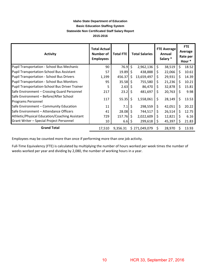#### **Idaho State Department of Education Basic Education Staffing System Statewide Non Certificated Staff Salary Report 2015-2016**

| <b>Activity</b>                                              | <b>Total Actual</b><br>Number of<br><b>Employees</b> | <b>Total FTE</b> |     | <b>Total Salaries</b> |    | <b>FTE Average</b><br>Annual<br>Salary * |     | <b>FTE</b><br>Average<br>Rate per<br>Hour * |
|--------------------------------------------------------------|------------------------------------------------------|------------------|-----|-----------------------|----|------------------------------------------|-----|---------------------------------------------|
| Pupil Transportation - School Bus Mechanic                   | 90                                                   | 76.9             | \$  | 2,962,136             | \$ | 38,519                                   | \$  | 18.52                                       |
| <b>Pupil Transportation-School Bus Assistant</b>             | 57                                                   | $19.89$ \$       |     | 438,888               | \$ | 22,066                                   | Ŝ.  | 10.61                                       |
| Pupil Transportation - School Bus Drivers                    | 1,199                                                | 456.37           | \$. | 13,659,497            | \$ | 29,931                                   | \$  | 14.39                                       |
| <b>Pupil Transportation - School Bus Monitors</b>            | 95                                                   | $35.58$ \$       |     | 755,580               | \$ | 21,236                                   | \$  | 10.21                                       |
| <b>Pupil Transportation-School Bus Driver Trainer</b>        | 5                                                    | 2.63             | \$  | 86,470                | \$ | 32,878                                   | Ŝ.  | 15.81                                       |
| Safe Environment - Crossing Guard Personnel                  | 217                                                  | 23.2             | \$  | 481,697               | \$ | 20,763                                   | \$  | 9.98                                        |
| Safe Environment - Before/After School<br>Programs Personnel | 117                                                  | 55.35            | \$  | 1,558,061             | \$ | 28,149                                   | \$  | 13.53                                       |
| Safe Environment - Community Education                       | 11                                                   | 7.1              | \$  | 298,559               | \$ | 42,051                                   | \$  | 20.22                                       |
| Safe Environment - Attendance Officers                       | 41                                                   | $28.08$ \$       |     | 744,517               | \$ | 26,514                                   | S.  | 12.75                                       |
| Athletic/Physical Education/Coaching Assistant               | 729                                                  | 157.76           | S   | 2,022,609             | \$ | 12,821                                   | \$. | 6.16                                        |
| Grant Writer - Special Project Personnel                     | 10                                                   | 6.6              | \$  | 299,618               | \$ | 45,397                                   | S   | 21.83                                       |
| <b>Grand Total</b>                                           | 17,510                                               | 9,356.31         |     | \$271,049,079         | S  | 28,970                                   | S   | 13.93                                       |

Employees may be counted more than once if performing more than one job activity.

Full-Time Equivalency (FTE) is calculated by multiplying the number of hours worked per week times the number of weeks worked per year and dividing by 2,080, the number of working hours in a year.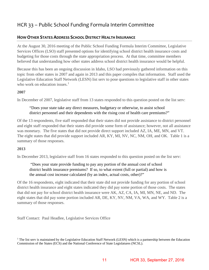## HCR 33 – Public School Funding Formula Interim Committee

#### **HOW OTHER STATES ADDRESS SCHOOL DISTRICT HEALTH INSURANCE**

At the August 30, 2016 meeting of the Public School Funding Formula Interim Committee, Legislative Services Offices (LSO) staff presented options for identifying school district health insurance costs and budgeting for those costs through the state appropriation process. At that time, committee members believed that understanding how other states address school district health insurance would be helpful.

Because this has been an ongoing discussion in Idaho, LSO had previously gathered information on this topic from other states in 2007 and again in 2013 and this paper compiles that information. Staff used the Legislative Education Staff Network (LESN) list serv to pose questions to legislative staff in other states who work on education issues.<sup>[1](#page-10-0)</sup>

#### **2007**

In December of 2007, legislative staff from 13 states responded to this question posted on the list serv:

#### "Does your state take any direct measures, budgetary or otherwise, to assist school district personnel and their dependents with the rising cost of health care premiums?"

Of the 13 respondents, five staff responded that their states did not provide assistance to district personnel and eight staff responded that their states did provide some form of assistance; however, not all assistance was monetary. The five states that did not provide direct support included AZ, IA, ME, MN, and VT. The eight states that did provide support included AR, KY, MI, NV, NC, NM, OH, and OK. Table 1 is a summary of those responses.

#### **2013**

In December 2013, legislative staff from 16 states responded to this question posted on the list serv:

 "Does your state provide funding to pay any portion of the annual cost of school district health insurance premiums? If so, to what extent (full or partial) and how is the annual cost increase calculated (by an index, actual costs, other)?"

Of the 16 respondents, eight indicated that their state did not provide funding for any portion of school district health insurance and eight states indicated they did pay some portion of those costs. The states that did not pay for school district health insurance were AK, AZ, CA, IA, MI, MN, NE, and ND. The eight states that did pay some portion included AR, DE, KY, NV, NM, VA, WA, and WY. Table 2 is a summary of those responses.

Staff Contact: Paul Headlee, Legislative Services Office

<span id="page-10-0"></span> $<sup>1</sup>$  The list serv is maintained by the Legislative Education Staff Network (LESN) which is a partnership between the Education</sup> Commission of the States (ECS) and the National Conference of State Legislatures (NCSL).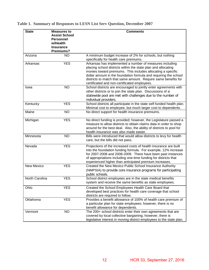| <b>State</b>   | <b>Measures to</b>   | <b>Comments</b>                                                        |
|----------------|----------------------|------------------------------------------------------------------------|
|                | <b>Assist School</b> |                                                                        |
|                | <b>Personnel</b>     |                                                                        |
|                | w/Health             |                                                                        |
|                | <b>Insurance</b>     |                                                                        |
|                | Premiums?            |                                                                        |
|                | <b>NO</b>            |                                                                        |
| Arizona        |                      | A minimum budget increase of 2% for schools, but nothing               |
|                |                      | specifically for health care premiums.                                 |
| Arkansas       | <b>YES</b>           | Arkansas has implemented a number of measures including                |
|                |                      | placing school districts within the state plan and allocating          |
|                |                      | monies toward premiums. This includes allocating a specific            |
|                |                      | dollar amount in the foundation formula and requiring the school       |
|                |                      | districts to match that same amount. Require same benefits for         |
|                |                      | certificated and non-certificated employees.                           |
| lowa           | <b>NO</b>            | School districts are encouraged to jointly enter agreements with       |
|                |                      | other districts or to join the state plan. Discussions of a            |
|                |                      | statewide pool are met with challenges due to the number of            |
|                |                      | individual providers.                                                  |
| Kentucky       | <b>YES</b>           | School districts all participate in the state self-funded health plan. |
|                |                      | Minimal cost to employee, but much larger cost to dependents.          |
| Maine          | <b>NO</b>            | No direct support for health insurance premiums.                       |
| Michigan       | <b>YES</b>           | No direct funding is provided; however, the Legislature passed a       |
|                |                      | measure to allow districts to obtain claims data in order to shop      |
|                |                      | around for the best deal. Also, the ability of districts to pool for   |
|                |                      | health insurance was also made easier.                                 |
| Minnesota      | <b>NO</b>            | Bills were introduced that would allow districts to levy for health    |
|                |                      | care, but the bills did not pass.                                      |
| Nevada         | <b>YES</b>           | Projections of the increased costs of health insurance are built       |
|                |                      | into the foundation funding formula. For example, 12% increase         |
|                |                      | for 2007-2008 and 2008-2009. There have been past instances            |
|                |                      | of appropriations including one-time funding for districts that        |
|                |                      | experienced higher than anticipated premium increases.                 |
| New Mexico     | <b>YES</b>           | Created the New Mexico Public School Insurance Authority               |
|                |                      | (NMPSIA) to provide core insurance programs for participating          |
|                |                      | public schools.                                                        |
| North Carolina | <b>YES</b>           | School district employees are in the state medical benefits            |
|                |                      | system and receive the same benefits as state employees.               |
| Ohio           | <b>YES</b>           | Created the School Employees Health Care Board that                    |
|                |                      | developed best practices for health care coverage that school          |
|                |                      | districts are required to follow.                                      |
| Oklahoma       | <b>YES</b>           | Provides a benefit allowance of 100% of health care premium of         |
|                |                      | a particular plan for state employees; however, there is no            |
|                |                      | benefit allowance for dependents.                                      |
| Vermont        | <b>NO</b>            | The 200+ school districts enter their own agreements that are          |
|                |                      | covered by local collective bargaining; however, there is              |
|                |                      | legislative interest in moving district employees to the state plan.   |

**Table 1. Summary of Responses to LESN List Serv Question, December 2007**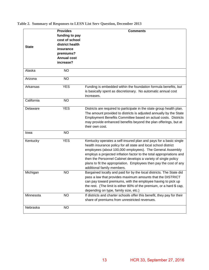| <b>State</b> | <b>Provides</b><br>funding to pay<br>cost of school<br>district health<br>insurance<br>premiums?<br><b>Annual cost</b><br>increase? | <b>Comments</b>                                                                                                                                                                                                                                                                                                                                                                                                                                 |
|--------------|-------------------------------------------------------------------------------------------------------------------------------------|-------------------------------------------------------------------------------------------------------------------------------------------------------------------------------------------------------------------------------------------------------------------------------------------------------------------------------------------------------------------------------------------------------------------------------------------------|
| Alaska       | <b>NO</b>                                                                                                                           |                                                                                                                                                                                                                                                                                                                                                                                                                                                 |
| Arizona      | <b>NO</b>                                                                                                                           |                                                                                                                                                                                                                                                                                                                                                                                                                                                 |
| Arkansas     | <b>YES</b>                                                                                                                          | Funding is embedded within the foundation formula benefits, but<br>is basically spent as discretionary. No automatic annual cost<br>increases.                                                                                                                                                                                                                                                                                                  |
| California   | <b>NO</b>                                                                                                                           |                                                                                                                                                                                                                                                                                                                                                                                                                                                 |
| Delaware     | <b>YES</b>                                                                                                                          | Districts are required to participate in the state group health plan.<br>The amount provided to districts is adjusted annually by the State<br>Employment Benefits Committee based on actual costs. Districts<br>may provide enhanced benefits beyond the plan offerings, but at<br>their own cost.                                                                                                                                             |
| Iowa         | <b>NO</b>                                                                                                                           |                                                                                                                                                                                                                                                                                                                                                                                                                                                 |
| Kentucky     | <b>YES</b>                                                                                                                          | Kentucky operates a self-insured plan and pays for a basic single<br>health insurance policy for all state and local school district<br>employees (about 100,000 employees). The General Assembly<br>employs a projected inflation factor to the total appropriations and<br>then the Personnel Cabinet develops a variety of single policy<br>plans to fit the appropriation. Employees then pay the cost of any<br>additional family members. |
| Michigan     | <b>NO</b>                                                                                                                           | Bargained locally and paid for by the local districts. The State did<br>pass a law that provides maximum amounts that the DISTRICT<br>can pay toward premiums, with the employee having to pick up<br>the rest. (The limit is either 80% of the premium, or a hard \$ cap,<br>depending on type, family size, etc.)                                                                                                                             |
| Minnesota    | <b>NO</b>                                                                                                                           | If districts and charter schools offer this benefit, they pay for their<br>share of premiums from unrestricted revenues.                                                                                                                                                                                                                                                                                                                        |
| Nebraska     | <b>NO</b>                                                                                                                           |                                                                                                                                                                                                                                                                                                                                                                                                                                                 |

#### **Table 2. Summary of Responses to LESN List Serv Question, December 2013**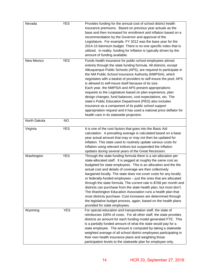| Nevada            | <b>YES</b> | Provides funding for the annual cost of school district health<br>insurance premiums. Based on previous year actuals as the<br>base and then increased for enrollment and inflation based on a<br>recommendation by the Governor and approval of the<br>Legislature. For example, FY 2012 was the base year for the<br>2014-15 biennium budget. There is no one specific index that is<br>utilized. In reality, funding for inflation is typically driven by the<br>amount of funding available.                                                                                                                                                                                                                                                                                                                         |
|-------------------|------------|--------------------------------------------------------------------------------------------------------------------------------------------------------------------------------------------------------------------------------------------------------------------------------------------------------------------------------------------------------------------------------------------------------------------------------------------------------------------------------------------------------------------------------------------------------------------------------------------------------------------------------------------------------------------------------------------------------------------------------------------------------------------------------------------------------------------------|
| <b>New Mexico</b> | <b>YES</b> | Funds health insurance for public school employees almost<br>entirely through the state funding formula. All districts, except<br>Albuquerque Public Schools (APS), are required to participate in<br>the NM Public School Insurance Authority (NMPSIA), which<br>negotiates with a basket of providers to self-insure the pool; APS<br>is allowed to self-insure itself because of its size.<br>Each year, the NMPSIA and APS present appropriations<br>requests to the Legislature based on plan experience, plan<br>design changes, fund balances, cost expectations, etc. The<br>state's Public Education Department (PED) also includes<br>insurance as a component of its public school support<br>appropriation request and it has used a national price deflator for<br>health care in its statewide projection. |
| North Dakota      | <b>NO</b>  |                                                                                                                                                                                                                                                                                                                                                                                                                                                                                                                                                                                                                                                                                                                                                                                                                          |
| Virginia          | <b>YES</b> | It is one of the cost factors that goes into the Basic Aid<br>calculation. A prevailing average is calculated based on a base<br>year actual amount that may or may not then be updated for<br>inflation. This state used to routinely update various costs for<br>inflation using relevant indices but suspended the inflation<br>updates during several years of the Great Recession.                                                                                                                                                                                                                                                                                                                                                                                                                                  |
| Washington        | <b>YES</b> | Through the state funding formula there is a set allocation per<br>state-allocated staff. It is pegged at roughly the same cost as<br>budgeted for state employees. This is an allocation and the the<br>actual cost and details of coverage are then collectively<br>bargained locally. The state does not cover costs for any locally<br>or federally-funded employees - just the ones that are allocated<br>through the state formula. The current rate is \$768 per month and<br>districts can purchase from the state health plan, but most don't.<br>The Washington Education Association runs a health plan that<br>most districts purchase. Cost increases are determined through<br>the legislative budget process, again, based on the health plans<br>provided for state employees.                           |
| Wyoming           | <b>YES</b> | For special education and transportation staff, the state of<br>reimburses 100% of costs. For all other staff, the state provides<br>districts an amount for each funding model generated FTE. This<br>is a partially funded amount of what the state would pay for a<br>state employee. The amount is computed by taking a statewide<br>weighted average of all school district employees participating in<br>their own health insurance plans and weighting those<br>participation levels to the statewide plan for employee only,                                                                                                                                                                                                                                                                                     |